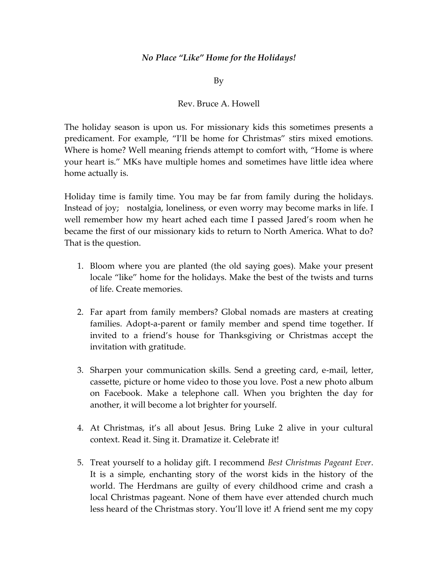## *No Place "Like" Home for the Holidays!*

By

## Rev. Bruce A. Howell

The holiday season is upon us. For missionary kids this sometimes presents a predicament. For example, "I'll be home for Christmas" stirs mixed emotions. Where is home? Well meaning friends attempt to comfort with, "Home is where your heart is." MKs have multiple homes and sometimes have little idea where home actually is.

Holiday time is family time. You may be far from family during the holidays. Instead of joy; nostalgia, loneliness, or even worry may become marks in life. I well remember how my heart ached each time I passed Jared's room when he became the first of our missionary kids to return to North America. What to do? That is the question.

- 1. Bloom where you are planted (the old saying goes). Make your present locale "like" home for the holidays. Make the best of the twists and turns of life. Create memories.
- 2. Far apart from family members? Global nomads are masters at creating families. Adopt-a-parent or family member and spend time together. If invited to a friend's house for Thanksgiving or Christmas accept the invitation with gratitude.
- 3. Sharpen your communication skills. Send a greeting card, e-mail, letter, cassette, picture or home video to those you love. Post a new photo album on Facebook. Make a telephone call. When you brighten the day for another, it will become a lot brighter for yourself.
- 4. At Christmas, it's all about Jesus. Bring Luke 2 alive in your cultural context. Read it. Sing it. Dramatize it. Celebrate it!
- 5. Treat yourself to a holiday gift. I recommend *Best Christmas Pageant Ever*. It is a simple, enchanting story of the worst kids in the history of the world. The Herdmans are guilty of every childhood crime and crash a local Christmas pageant. None of them have ever attended church much less heard of the Christmas story. You'll love it! A friend sent me my copy